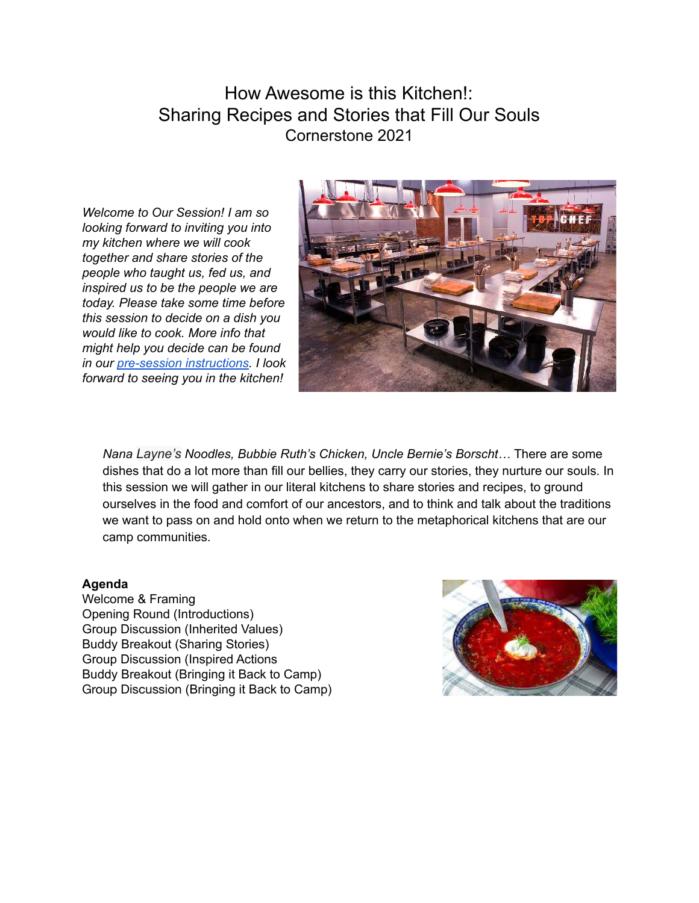# How Awesome is this Kitchen!: Sharing Recipes and Stories that Fill Our Souls Cornerstone 2021

*Welcome to Our Session! I am so looking forward to inviting you into my kitchen where we will cook together and share stories of the people who taught us, fed us, and inspired us to be the people we are today. Please take some time before this session to decide on a dish you would like to cook. More info that might help you decide can be found in our [pre-session instructions](#page-1-0). I look forward to seeing you in the kitchen!*



*Nana Layne's Noodles, Bubbie Ruth's Chicken, Uncle Bernie's Borscht…* There are some dishes that do a lot more than fill our bellies, they carry our stories, they nurture our souls. In this session we will gather in our literal kitchens to share stories and recipes, to ground ourselves in the food and comfort of our ancestors, and to think and talk about the traditions we want to pass on and hold onto when we return to the metaphorical kitchens that are our camp communities.

#### **Agenda**

Welcome & Framing Opening Round (Introductions) Group Discussion (Inherited Values) Buddy Breakout (Sharing Stories) Group Discussion (Inspired Actions Buddy Breakout (Bringing it Back to Camp) Group Discussion (Bringing it Back to Camp)

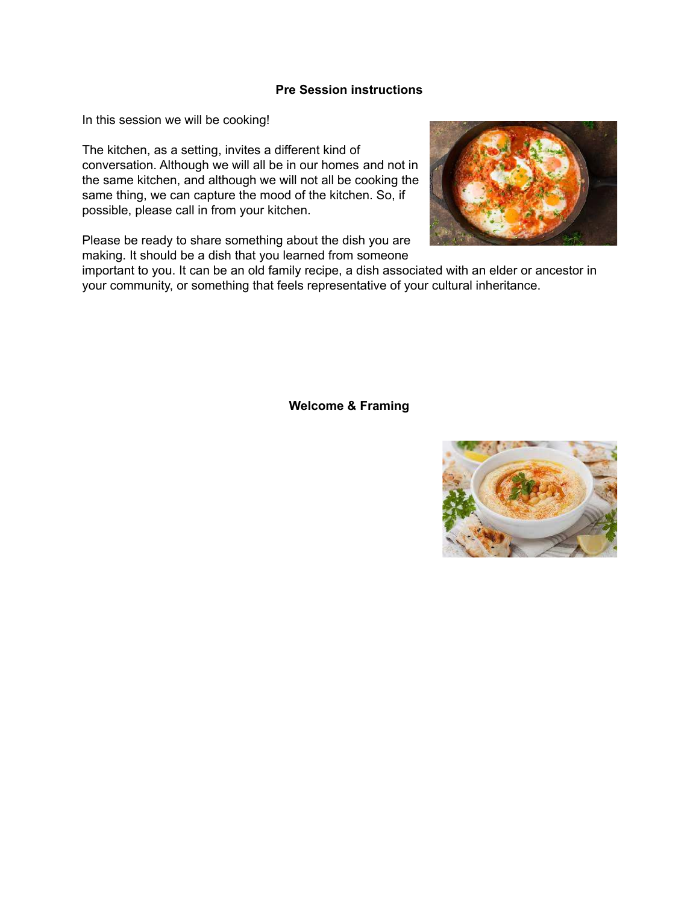#### **Pre Session instructions**

<span id="page-1-0"></span>In this session we will be cooking!

The kitchen, as a setting, invites a different kind of conversation. Although we will all be in our homes and not in the same kitchen, and although we will not all be cooking the same thing, we can capture the mood of the kitchen. So, if possible, please call in from your kitchen.

Please be ready to share something about the dish you are making. It should be a dish that you learned from someone



important to you. It can be an old family recipe, a dish associated with an elder or ancestor in your community, or something that feels representative of your cultural inheritance.

**Welcome & Framing**

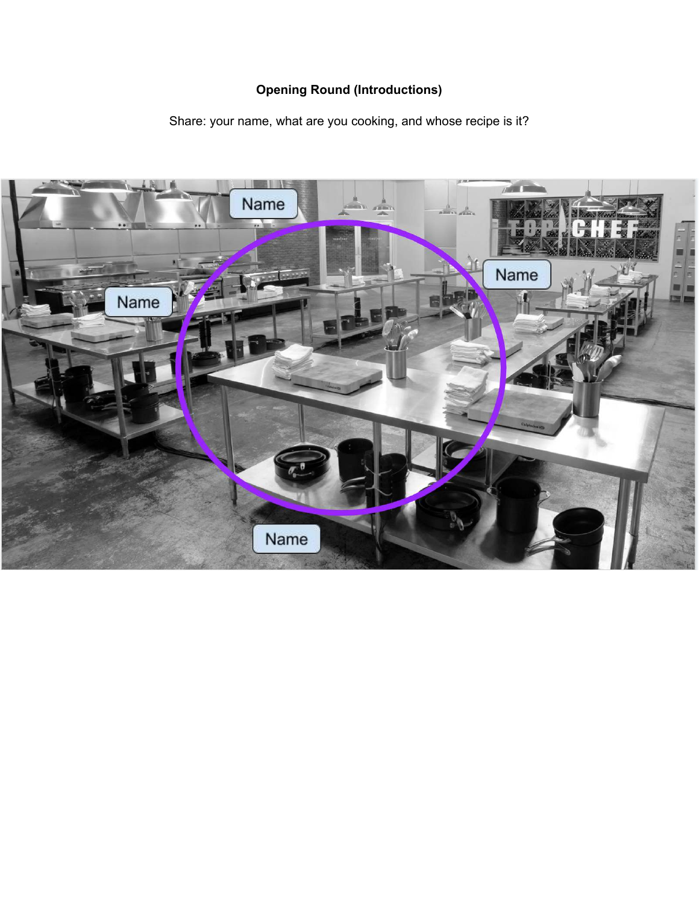## **Opening Round (Introductions)**

Share: your name, what are you cooking, and whose recipe is it?

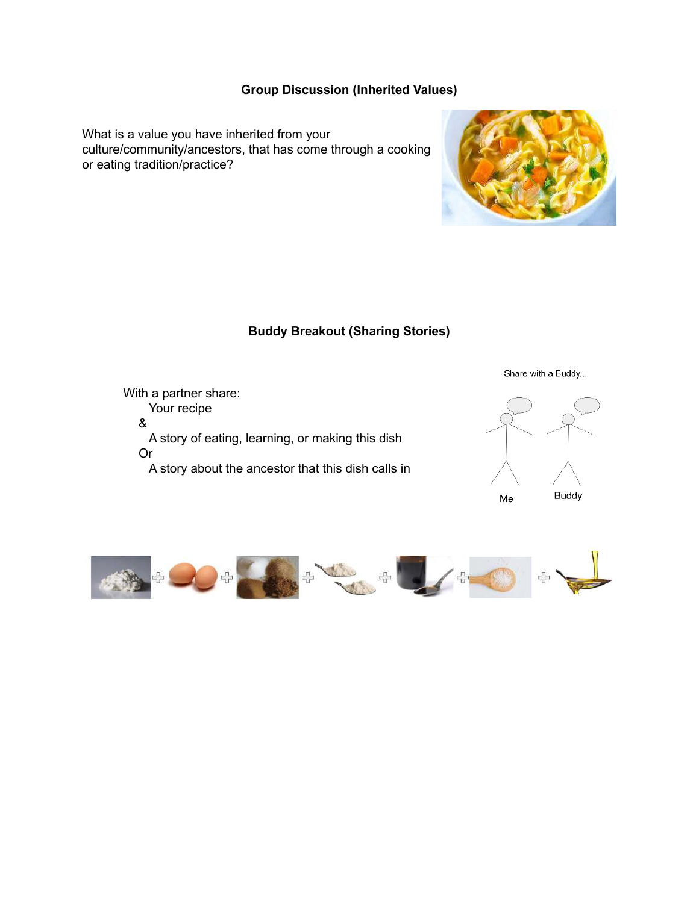## **Group Discussion (Inherited Values)**

What is a value you have inherited from your culture/community/ancestors, that has come through a cooking or eating tradition/practice?



#### **Buddy Breakout (Sharing Stories)**



Share with a Buddy...